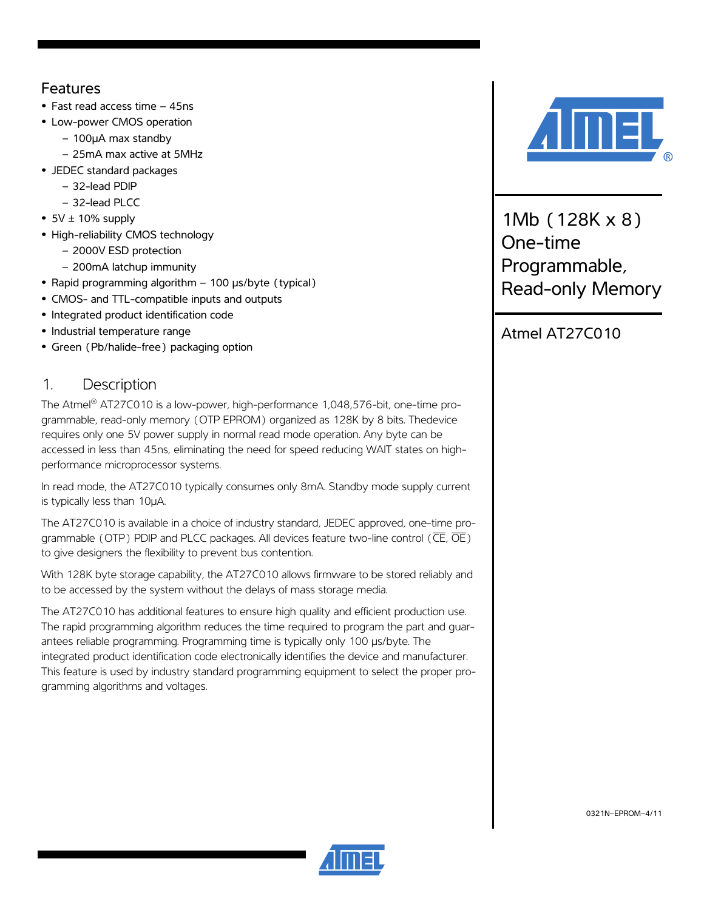## Features

- **•** Fast read access time 45ns
- **•** Low-power CMOS operation
	- 100µA max standby
	- 25mA max active at 5MHz
- **•** JEDEC standard packages
	- 32-lead PDIP
	- 32-lead PLCC
- **•** 5V ± 10% supply
- **•** High-reliability CMOS technology
	- 2000V ESD protection
	- 200mA latchup immunity
- **•** Rapid programming algorithm 100 µs/byte (typical)
- **•** CMOS- and TTL-compatible inputs and outputs
- **•** Integrated product identification code
- **•** Industrial temperature range
- **•** Green (Pb/halide-free) packaging option

# 1. Description

The Atmel® AT27C010 is a low-power, high-performance 1,048,576-bit, one-time programmable, read-only memory (OTP EPROM) organized as 128K by 8 bits. Thedevice requires only one 5V power supply in normal read mode operation. Any byte can be accessed in less than 45ns, eliminating the need for speed reducing WAIT states on highperformance microprocessor systems.

In read mode, the AT27C010 typically consumes only 8mA. Standby mode supply current is typically less than 10µA.

The AT27C010 is available in a choice of industry standard, JEDEC approved, one-time programmable (OTP) PDIP and PLCC packages. All devices feature two-line control ( $\overline{\text{CE}}$ ,  $\overline{\text{OE}}$ ) to give designers the flexibility to prevent bus contention.

With 128K byte storage capability, the AT27C010 allows firmware to be stored reliably and to be accessed by the system without the delays of mass storage media.

The AT27C010 has additional features to ensure high quality and efficient production use. The rapid programming algorithm reduces the time required to program the part and guarantees reliable programming. Programming time is typically only 100 µs/byte. The integrated product identification code electronically identifies the device and manufacturer. This feature is used by industry standard programming equipment to select the proper programming algorithms and voltages.



1Mb (128K x 8) One-time Programmable, Read-only Memory

Atmel AT27C010



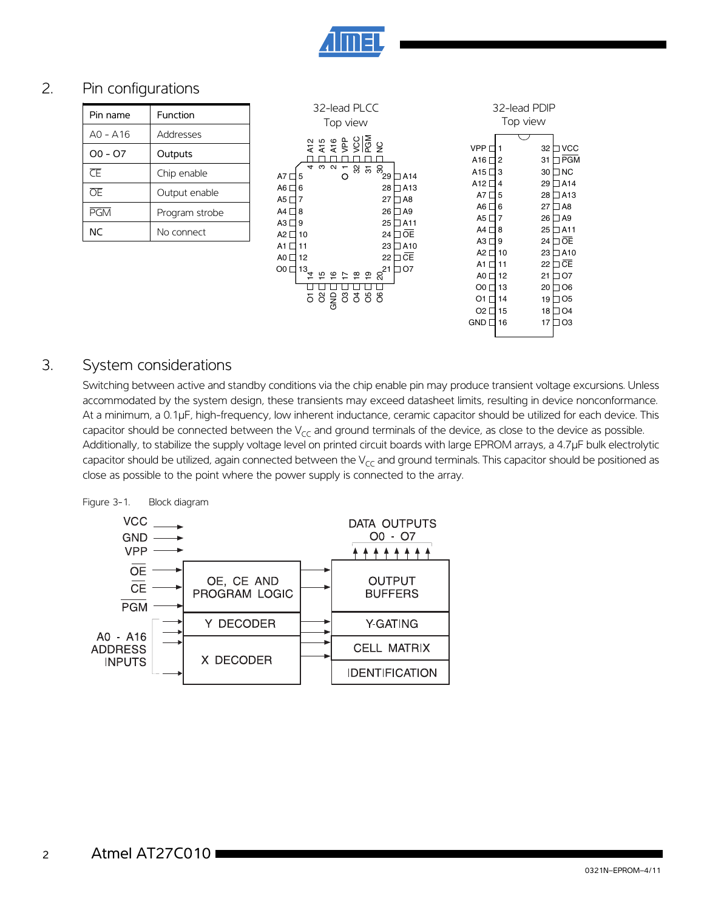

### 2. Pin configurations

| Pin name   | Function       |
|------------|----------------|
| $AO - A16$ | Addresses      |
| $00 - 07$  | Outputs        |
| Œ          | Chip enable    |
| ŌF         | Output enable  |
| <b>PGM</b> | Program strobe |
| <b>NC</b>  | No connect     |



#### 3. System considerations

Switching between active and standby conditions via the chip enable pin may produce transient voltage excursions. Unless accommodated by the system design, these transients may exceed datasheet limits, resulting in device nonconformance. At a minimum, a 0.1µF, high-frequency, low inherent inductance, ceramic capacitor should be utilized for each device. This capacitor should be connected between the  $V_{CC}$  and ground terminals of the device, as close to the device as possible. Additionally, to stabilize the supply voltage level on printed circuit boards with large EPROM arrays, a 4.7µF bulk electrolytic capacitor should be utilized, again connected between the  $V_{CC}$  and ground terminals. This capacitor should be positioned as close as possible to the point where the power supply is connected to the array.



Figure 3-1. Block diagram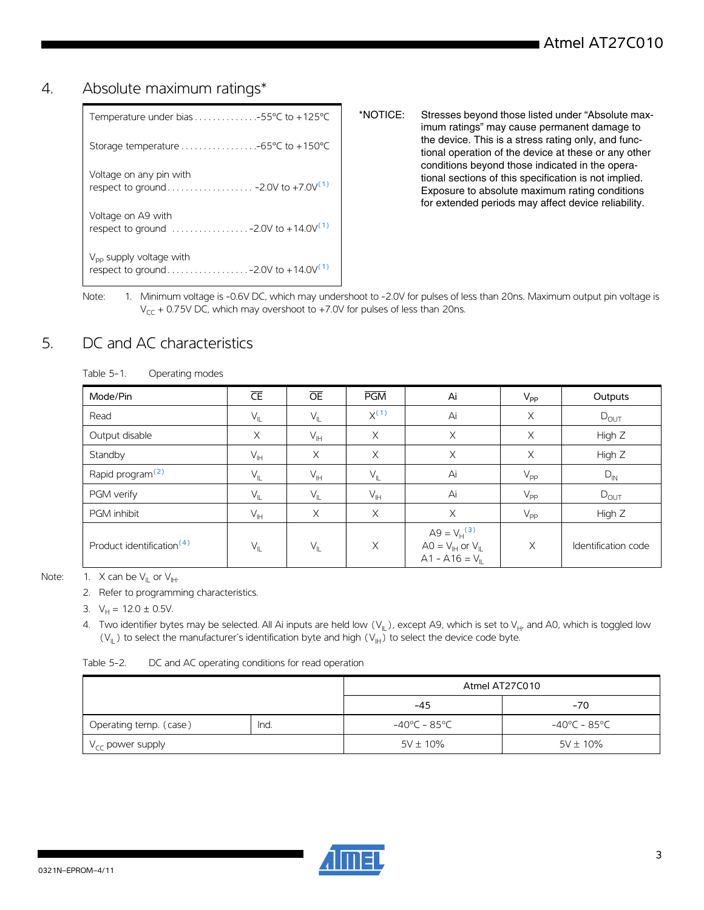### 4. Absolute maximum ratings\*

| $V_{\text{pp}}$ supply voltage with<br>respect to ground - 2.0V to +14.0V <sup>(1)</sup>             |
|------------------------------------------------------------------------------------------------------|
| Voltage on A9 with<br>respect to ground $\ldots \ldots \ldots \ldots -2.0V$ to +14.0V <sup>(1)</sup> |
| Voltage on any pin with                                                                              |
|                                                                                                      |
| Temperature under bias $\ldots \ldots \ldots \ldots -55^{\circ}C$ to +125°C                          |

- \*NOTICE: Stresses beyond those listed under "Absolute maximum ratings" may cause permanent damage to the device. This is a stress rating only, and functional operation of the device at these or any other conditions beyond those indicated in the operational sections of this specification is not implied. Exposure to absolute maximum rating conditions for extended periods may affect device reliability.
- <span id="page-2-0"></span>Note: 1. Minimum voltage is -0.6V DC, which may undershoot to -2.0V for pulses of less than 20ns. Maximum output pin voltage is  $V_{CC}$  + 0.75V DC, which may overshoot to +7.0V for pulses of less than 20ns.

### 5. DC and AC characteristics

| Table 5-1. | Operating modes |
|------------|-----------------|
|            |                 |

| Mode/Pin                              | $\overline{\text{CE}}$ | $\overline{OE}$            | <b>PGM</b>     | Ai                                                                                            | $V_{\mathsf{PP}}$ | Outputs             |
|---------------------------------------|------------------------|----------------------------|----------------|-----------------------------------------------------------------------------------------------|-------------------|---------------------|
| Read                                  | $V_{IL}$               | $\mathsf{V}_{\mathsf{IL}}$ | $X^{(1)}$      | Ai                                                                                            | $\times$          | $D_{OUT}$           |
| Output disable                        | $\times$               | $V_{\text{IH}}$            | X              | X                                                                                             | $\times$          | High Z              |
| Standby                               | $V_{\mathbb{H}}$       | $\times$                   | $\times$       | X                                                                                             | $\times$          | High Z              |
| Rapid program <sup>(2)</sup>          | $V_{IL}$               | $V_{\text{IH}}$            | $V_{IL}$       | Ai                                                                                            | $V_{\mathsf{PP}}$ | $D_{IN}$            |
| PGM verify                            | $V_{IL}$               | $V_{\parallel}$            | $V_{\text{H}}$ | Ai                                                                                            | $V_{\text{PP}}$   | $D_{OUT}$           |
| <b>PGM</b> inhibit                    | $V_{\parallel H}$      | X                          | X              | X                                                                                             | $V_{\text{PP}}$   | High Z              |
| Product identification <sup>(4)</sup> | $V_{IL}$               | $V_{\parallel}$            | $\times$       | A9 = $V_H^{(3)}$<br>$AO = V_{\parallel H}$ or $V_{\parallel L}$<br>$A1 - A16 = V_{\parallel}$ | X                 | Identification code |

<span id="page-2-4"></span><span id="page-2-3"></span><span id="page-2-2"></span><span id="page-2-1"></span>Note: 1. X can be  $V_{\parallel}$  or  $V_{\parallel}$ .

2. Refer to programming characteristics.

3.  $V_H = 12.0 \pm 0.5V$ .

4. Two identifier bytes may be selected. All Ai inputs are held low  $(V_{\|})$ , except A9, which is set to  $V_{H}$ , and A0, which is toggled low ( $V_{\parallel}$ ) to select the manufacturer's identification byte and high ( $V_{\parallel}$ ) to select the device code byte.

Table 5-2. DC and AC operating conditions for read operation

|                               |      | Atmel AT27C010 |               |  |  |  |
|-------------------------------|------|----------------|---------------|--|--|--|
|                               |      |                | $-70$         |  |  |  |
| Operating temp. (case)        | Ind. | -40°C - 85°C   | -40°C - 85°C  |  |  |  |
| 'V <sub>CC</sub> power supply |      | $5V \pm 10\%$  | $5V \pm 10\%$ |  |  |  |

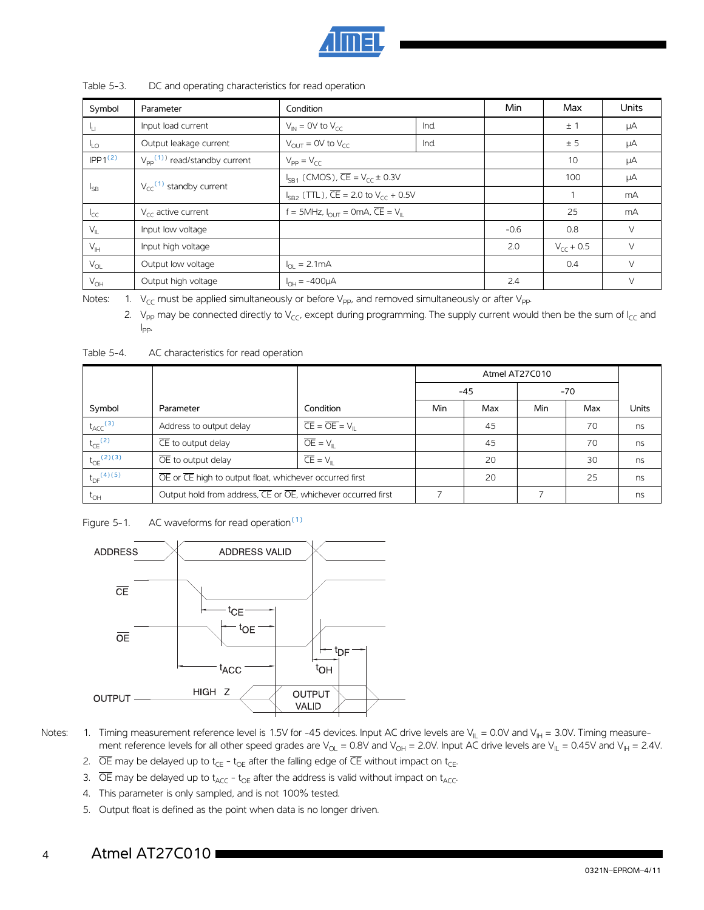

| Symbol                                              | Parameter                                  | Condition                                                             |      | Min    | Max            | <b>Units</b> |
|-----------------------------------------------------|--------------------------------------------|-----------------------------------------------------------------------|------|--------|----------------|--------------|
| - I <sub>LL</sub>                                   | Input load current                         | $V_{IN}$ = 0V to $V_{cr}$                                             | Ind. |        | ±1             | μA           |
| $I_{LO}$                                            | Output leakage current                     | $V_{\text{OUT}} = 0V$ to $V_{\text{CC}}$                              | Ind. |        | ± 5            | μA           |
| IPP1 <sup>(2)</sup>                                 | $V_{\text{pp}}^{(1)}$ read/standby current | $V_{PP} = V_{CC}$                                                     |      |        | 10             | μA           |
|                                                     |                                            | $I_{SB1}$ (CMOS), $\overline{CE} = V_{CC} \pm 0.3V$                   |      |        | 100            | μA           |
| $V_{cc}$ <sup>(1)</sup> standby current<br>$I_{SB}$ |                                            | $I_{SB2}$ (TTL), $\overline{CE}$ = 2.0 to $V_{CF}$ + 0.5V             |      |        |                | mA           |
| $I_{CC}$                                            | $V_{cc}$ active current                    | $f = 5$ MHz, $I_{\text{OUT}} = 0$ mA, $\overline{CE} = V_{\parallel}$ |      |        | 25             | mA           |
| $V_{IL}$                                            | Input low voltage                          |                                                                       |      | $-0.6$ | 0.8            | $\vee$       |
| $\mathsf{V}_{\mathsf{IH}}$                          | Input high voltage                         |                                                                       |      | 2.0    | $V_{cr}$ + 0.5 | $\vee$       |
| $V_{OL}$                                            | Output low voltage                         | $I_{\Omega I} = 2.1 \text{mA}$                                        |      |        | 0.4            | $\vee$       |
| $V_{OH}$                                            | Output high voltage                        | $I_{OH} = -400 \mu A$                                                 |      | 2.4    |                | $\vee$       |

#### Table 5-3. DC and operating characteristics for read operation

<span id="page-3-1"></span><span id="page-3-0"></span>Notes: 1.  $V_{CC}$  must be applied simultaneously or before  $V_{PP}$ , and removed simultaneously or after  $V_{PP}$ .

2. V<sub>PP</sub> may be connected directly to V<sub>CC</sub>, except during programming. The supply current would then be the sum of I<sub>CC</sub> and I  $I_{\text{PP}}$ .

|                            |                                                              |                                                 | Atmel AT27C010 |       |     |       |              |
|----------------------------|--------------------------------------------------------------|-------------------------------------------------|----------------|-------|-----|-------|--------------|
|                            |                                                              |                                                 |                | $-45$ |     | $-70$ |              |
| Symbol                     | Parameter                                                    | Condition                                       | Min            | Max   | Min | Max   | <b>Units</b> |
| $t_{\text{ACC}}^{(3)}$     | Address to output delay                                      | $\overline{CE} = \overline{OE} = V_{\parallel}$ |                | 45    |     | 70    | ns           |
| $t_{CE}$ <sup>(2)</sup>    | CE to output delay                                           | $\overline{OE} = VII$                           |                | 45    |     | 70    | ns           |
| $t_{OE}^{(2)(3)}$          | $\overline{OE}$ to output delay                              | $\overline{CE} = V_{\text{II}}$                 |                | 20    |     | 30    | ns           |
| $t_{DF}$ <sup>(4)(5)</sup> | OE or CE high to output float, whichever occurred first      |                                                 |                | 20    |     | 25    | ns           |
| $t_{OH}$                   | Output hold from address, CE or OE, whichever occurred first |                                                 |                |       |     |       | ns           |

#### Table 5-4. AC characteristics for read operation

Figure 5-1. AC waveforms for read operation $(1)$ 



- <span id="page-3-6"></span><span id="page-3-5"></span><span id="page-3-2"></span>Notes:  $\quad$  1. Timing measurement reference level is 1.5V for -45 devices. Input AC drive levels are V<sub>IL</sub> = 0.0V and V<sub>IH</sub> = 3.0V. Timing measurement reference levels for all other speed grades are V<sub>OL</sub> = 0.8V and V<sub>OH</sub> = 2.0V. Input AC drive levels are V<sub>IL</sub> = 0.45V and V<sub>IH</sub> = 2.4V.
	- 2.  $\overline{OE}$  may be delayed up to t<sub>CE</sub> t<sub>OE</sub> after the falling edge of  $\overline{CE}$  without impact on t<sub>CE</sub>.
	- 3.  $\overline{OE}$  may be delayed up to t<sub>ACC</sub> t<sub>OE</sub> after the address is valid without impact on t<sub>ACC</sub>.
	- 4. This parameter is only sampled, and is not 100% tested.
	- 5. Output float is defined as the point when data is no longer driven.

#### <span id="page-3-4"></span><span id="page-3-3"></span> 4 Atmel AT27C010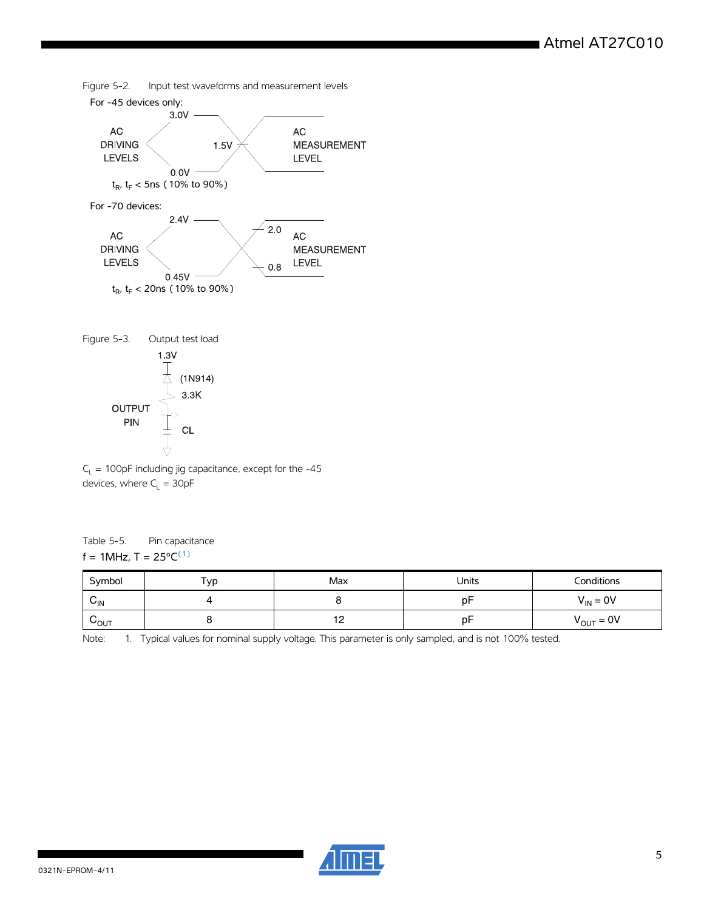







#### Table 5-5. Pin capacitance f = 1MHz,  $T = 25^{\circ}C^{(1)}$

| Symbol                      | Typ | Max        | Units | Conditions            |
|-----------------------------|-----|------------|-------|-----------------------|
| $v_{\text{IN}}$             |     |            | рF    | $V_{IN} = 0V$         |
| $\mathsf{v}_{\mathsf{OUT}}$ |     | . <u>.</u> | рF    | $V_{\text{OUT}} = 0V$ |

<span id="page-4-0"></span>Note: 1. Typical values for nominal supply voltage. This parameter is only sampled, and is not 100% tested.

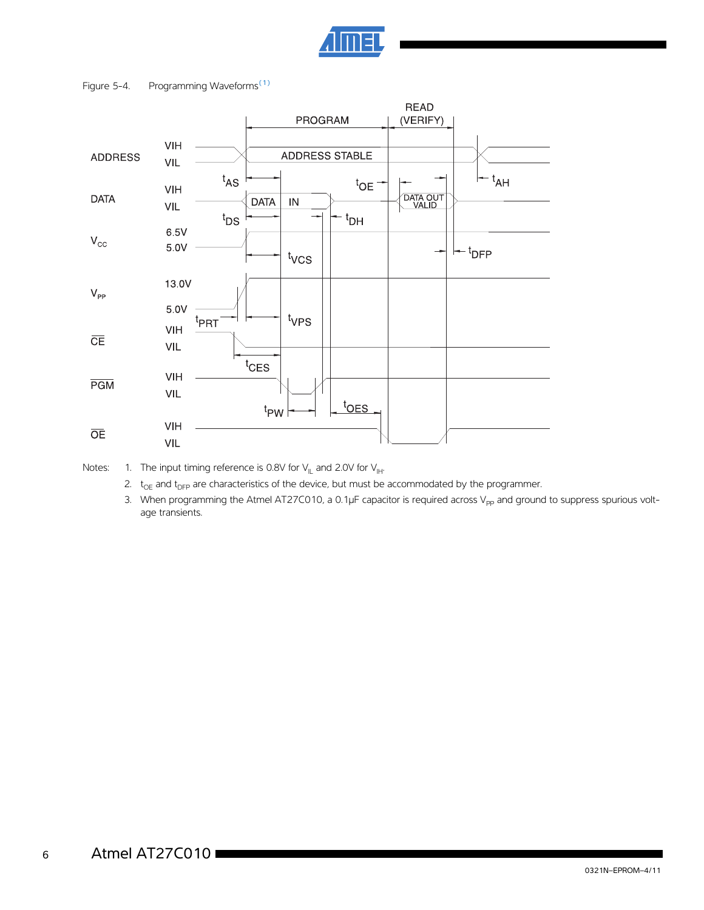

#### Figure 5-4. Programming Waveforms<sup>[\(1\)](#page-5-0)</sup>



<span id="page-5-0"></span>Notes: 1. The input timing reference is 0.8V for  $V_{\parallel L}$  and 2.0V for  $V_{\parallel H}$ .

- 2.  $t_{OE}$  and  $t_{DFP}$  are characteristics of the device, but must be accommodated by the programmer.
- 3. When programming the Atmel AT27C010, a 0.1 $\mu$ F capacitor is required across V<sub>pp</sub> and ground to suppress spurious voltage transients.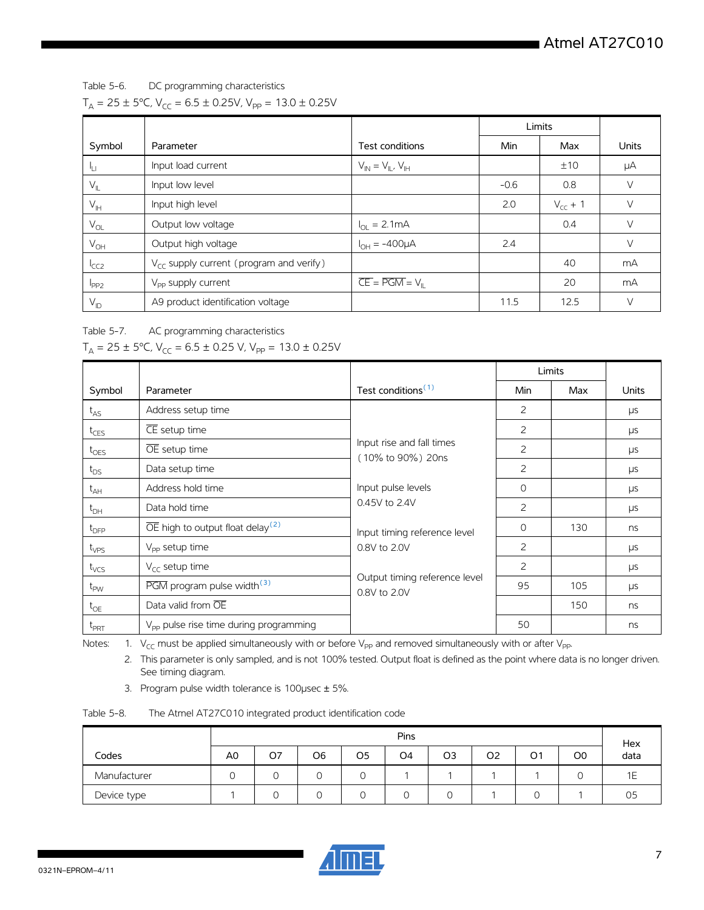Table 5-6. DC programming characteristics

|  |  | $T_A = 25 \pm 5$ °C, V <sub>CC</sub> = 6.5 ± 0.25V, V <sub>PP</sub> = 13.0 ± 0.25V |
|--|--|------------------------------------------------------------------------------------|
|--|--|------------------------------------------------------------------------------------|

|                   |                                                     |                                                  | Limits |              |              |
|-------------------|-----------------------------------------------------|--------------------------------------------------|--------|--------------|--------------|
| Symbol            | Parameter                                           | Test conditions                                  | Min    | Max          | <b>Units</b> |
| ١u                | Input load current                                  | $V_{IN} = V_{II}$ , $V_{IH}$                     |        | ±10          | μA           |
| $V_{\parallel}$   | Input low level                                     |                                                  | $-0.6$ | 0.8          | V            |
| $V_{\parallel H}$ | Input high level                                    |                                                  | 2.0    | $V_{cc}$ + 1 | $\vee$       |
| $V_{OL}$          | Output low voltage                                  | $I_{\text{OI}} = 2.1 \text{mA}$                  |        | 0.4          | $\vee$       |
| $V_{OH}$          | Output high voltage                                 | $I_{OH} = -400 \mu A$                            | 2.4    |              | $\vee$       |
| <sup>I</sup> CC2  | $V_{\text{CC}}$ supply current (program and verify) |                                                  |        | 40           | mA           |
| $1_{PP2}$         | V <sub>pp</sub> supply current                      | $\overline{CE} = \overline{PGM} = V_{\parallel}$ |        | 20           | mA           |
| $V_{ID}$          | A9 product identification voltage                   |                                                  | 11.5   | 12.5         | $\vee$       |

Table 5-7. AC programming characteristics

|  |  |  |  | $T_A = 25 \pm 5^{\circ}$ C, V <sub>CC</sub> = 6.5 ± 0.25 V, V <sub>PP</sub> = 13.0 ± 0.25V |
|--|--|--|--|--------------------------------------------------------------------------------------------|
|--|--|--|--|--------------------------------------------------------------------------------------------|

|                  |                                                           |                                                |                | Limits |       |
|------------------|-----------------------------------------------------------|------------------------------------------------|----------------|--------|-------|
| Symbol           | Parameter                                                 | Test conditions <sup>(1)</sup>                 | Min            | Max    | Units |
| $t_{AS}$         | Address setup time                                        |                                                | 2              |        | μs    |
| $t_{CES}$        | CE setup time                                             |                                                | 2              |        | μs    |
| $t_{OES}$        | $\overline{OE}$ setup time                                | Input rise and fall times<br>(10% to 90%) 20ns | $\overline{c}$ |        | μs    |
| $t_{DS}$         | Data setup time                                           | Input pulse levels<br>0.45V to 2.4V            | 2              |        | μs    |
| $t_{AH}$         | Address hold time                                         |                                                | $\circ$        |        | μs    |
| $t_{\text{DH}}$  | Data hold time                                            |                                                | 2              |        | μs    |
| $t_{\text{DFP}}$ | $\overline{OE}$ high to output float delay <sup>(2)</sup> | Input timing reference level                   | $\Omega$       | 130    | ns    |
| $t_{VPS}$        | $V_{\text{pp}}$ setup time                                | 0.8V to 2.0V                                   | 2              |        | μs    |
| t <sub>vcs</sub> | $V_{cc}$ setup time                                       |                                                | 2              |        | μs    |
| $t_{PW}$         | PGM program pulse width <sup>(3)</sup>                    | Output timing reference level<br>0.8V to 2.0V  | 95             | 105    | μs    |
| $t_{OE}$         | Data valid from OE                                        |                                                |                | 150    | ns    |
| $t_{PRT}$        | $V_{\text{pp}}$ pulse rise time during programming        |                                                | 50             |        | ns    |

<span id="page-6-1"></span><span id="page-6-0"></span>Notes: 1.  $V_{CC}$  must be applied simultaneously with or before V<sub>PP</sub> and removed simultaneously with or after V<sub>PP</sub>.

2. This parameter is only sampled, and is not 100% tested. Output float is defined as the point where data is no longer driven. See timing diagram.

3. Program pulse width tolerance is 100µsec ± 5%.

<span id="page-6-2"></span>

| The Atmel AT27C010 integrated product identification code |
|-----------------------------------------------------------|
|                                                           |

|              |                | Pins |    |          |                |    | Hex |                |                |      |
|--------------|----------------|------|----|----------|----------------|----|-----|----------------|----------------|------|
| Codes        | A <sub>0</sub> | O7   | O6 | O5       | O <sub>4</sub> | O3 | O2  | O <sub>1</sub> | O <sub>0</sub> | data |
| Manufacturer | Ω              |      |    | $\Omega$ |                |    |     |                |                | 1Ε   |
| Device type  |                |      |    |          |                |    |     |                |                | 05   |

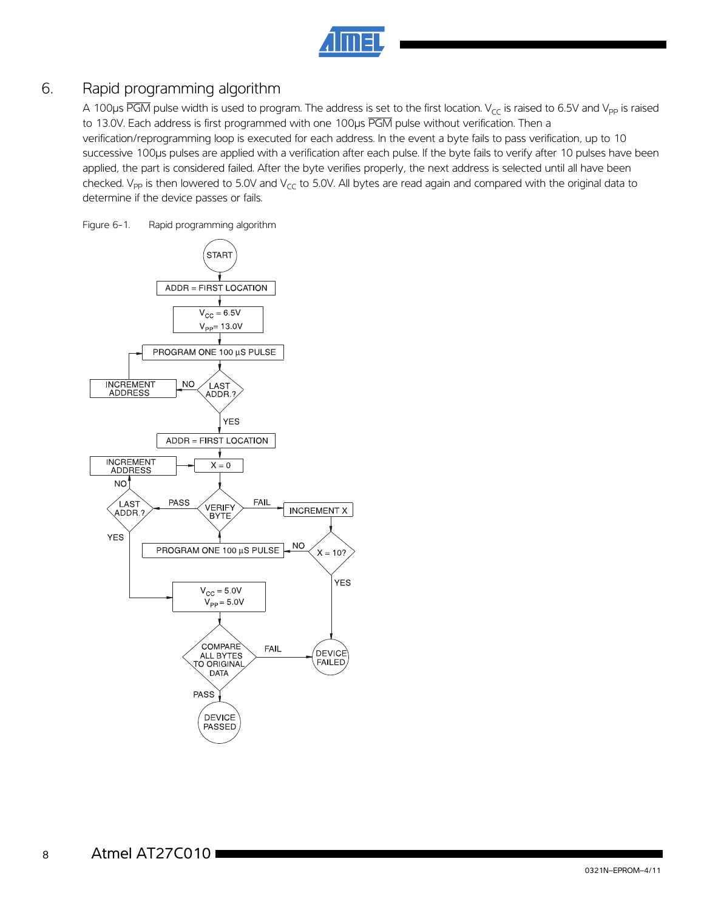## 6. Rapid programming algorithm

A 100 $\mu$ s PGM pulse width is used to program. The address is set to the first location. V<sub>CC</sub> is raised to 6.5V and V<sub>PP</sub> is raised to 13.0V. Each address is first programmed with one 100us PGM pulse without verification. Then a verification/reprogramming loop is executed for each address. In the event a byte fails to pass verification, up to 10 successive 100µs pulses are applied with a verification after each pulse. If the byte fails to verify after 10 pulses have been applied, the part is considered failed. After the byte verifies properly, the next address is selected until all have been checked.  $V_{PP}$  is then lowered to 5.0V and  $V_{CC}$  to 5.0V. All bytes are read again and compared with the original data to determine if the device passes or fails.

Figure 6-1. Rapid programming algorithm

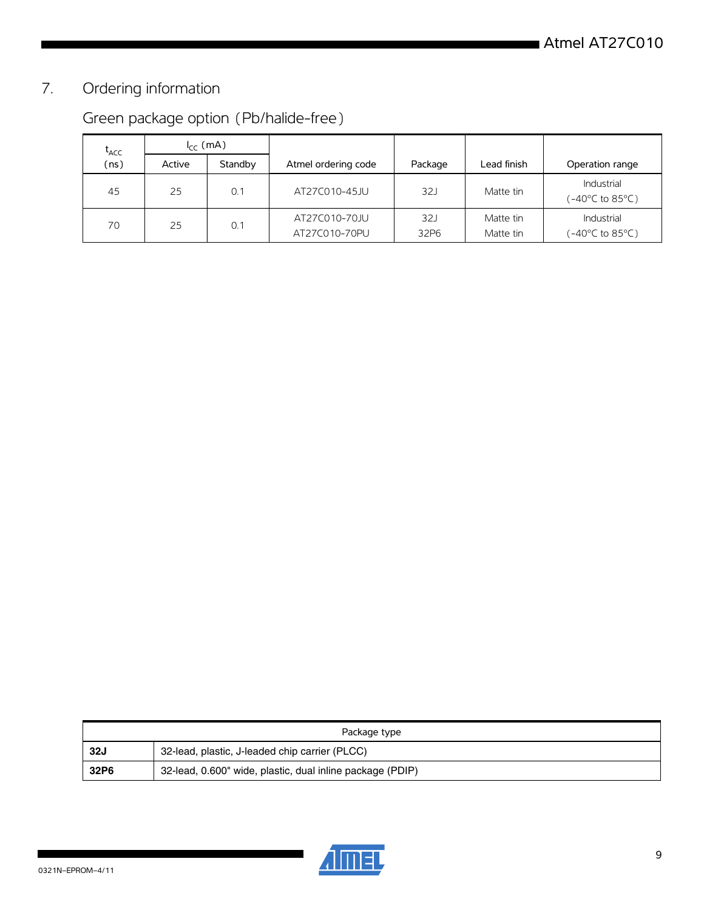# 7. Ordering information

| L <sub>ACC</sub> | $I_{cc}$ (mA) |         |                                |             |                        |                               |
|------------------|---------------|---------|--------------------------------|-------------|------------------------|-------------------------------|
| (ns)             | Active        | Standby | Atmel ordering code            | Package     | Lead finish            | Operation range               |
| 45               | 25            | 0.1     | AT27C010-45JU                  | 32J         | Matte tin              | Industrial<br>(-40°C to 85°C) |
| 70               | 25            | 0.1     | AT27C010-70JU<br>AT27C010-70PU | 32J<br>32P6 | Matte tin<br>Matte tin | Industrial<br>(-40°C to 85°C) |

# Green package option (Pb/halide-free)

| Package type |                                                           |  |  |  |  |
|--------------|-----------------------------------------------------------|--|--|--|--|
| <b>32J</b>   | 32-lead, plastic, J-leaded chip carrier (PLCC)            |  |  |  |  |
| 32P6         | 32-lead, 0.600" wide, plastic, dual inline package (PDIP) |  |  |  |  |

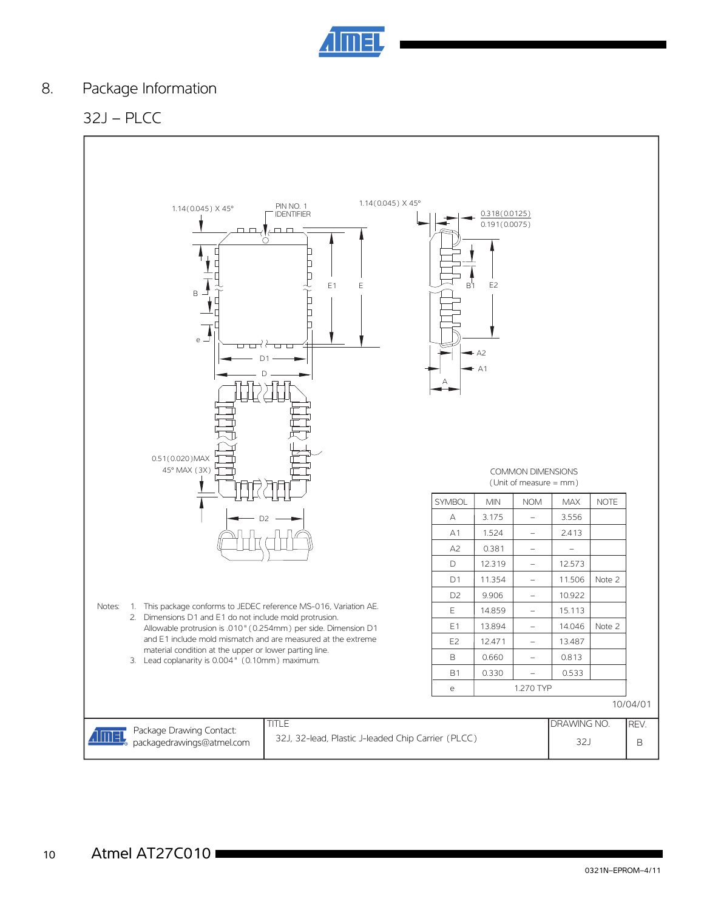

## 8. Package Information

## 32J – PLCC

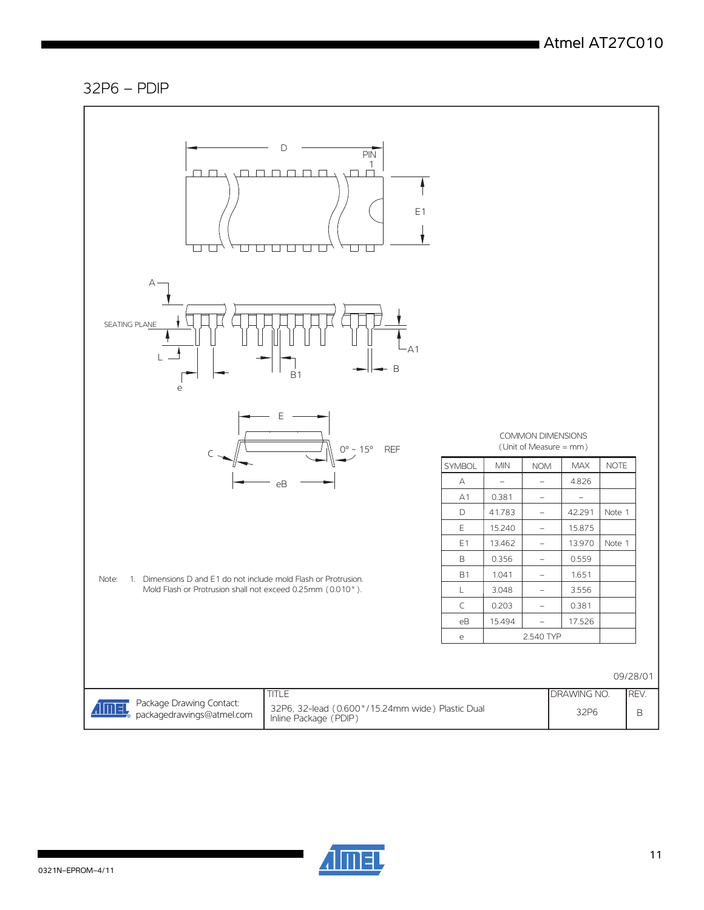#### 32P6 – PDIP



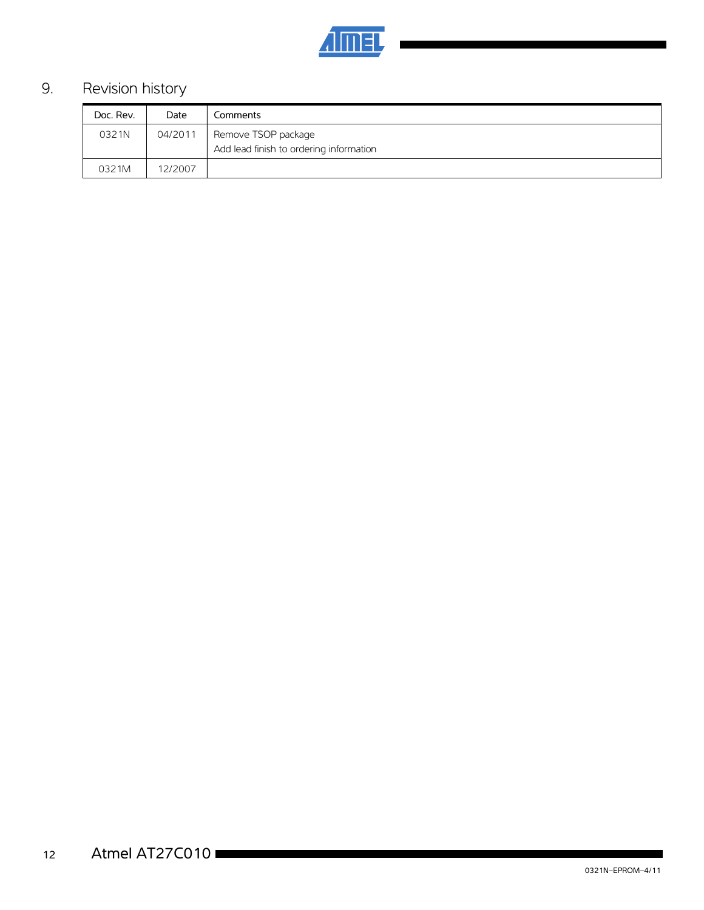

# 9. Revision history

| Doc. Rev. | Date    | -<br>Comments                                                  |
|-----------|---------|----------------------------------------------------------------|
| 0321N     | 04/2011 | Remove TSOP package<br>Add lead finish to ordering information |
|           |         |                                                                |
| 0321M     | 12/2007 |                                                                |